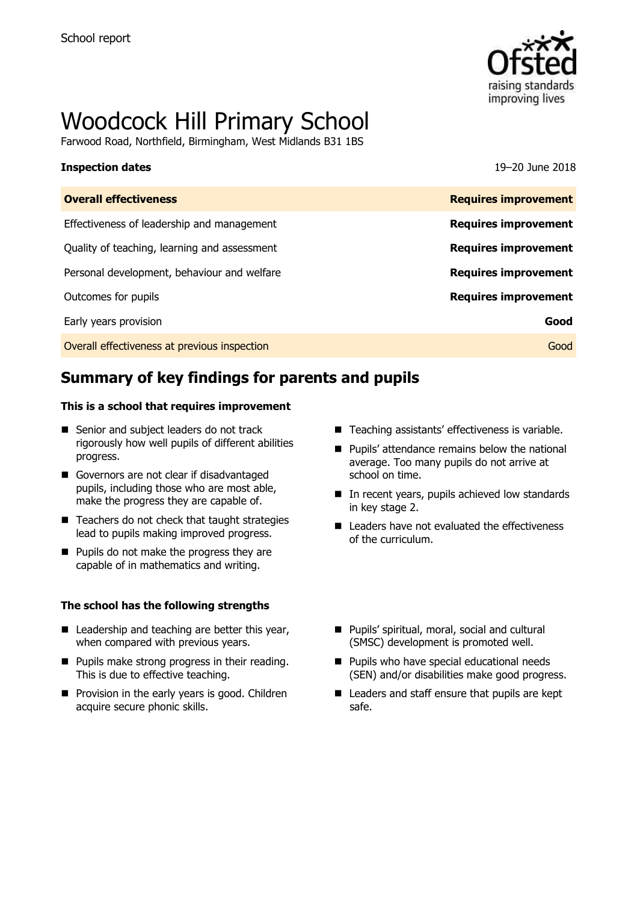

# Woodcock Hill Primary School

Farwood Road, Northfield, Birmingham, West Midlands B31 1BS

### **Inspection dates** 19–20 June 2018

| <b>Overall effectiveness</b>                 | <b>Requires improvement</b> |
|----------------------------------------------|-----------------------------|
| Effectiveness of leadership and management   | <b>Requires improvement</b> |
| Quality of teaching, learning and assessment | <b>Requires improvement</b> |
| Personal development, behaviour and welfare  | <b>Requires improvement</b> |
| Outcomes for pupils                          | <b>Requires improvement</b> |
| Early years provision                        | Good                        |
| Overall effectiveness at previous inspection | Good                        |
|                                              |                             |

# **Summary of key findings for parents and pupils**

### **This is a school that requires improvement**

- Senior and subject leaders do not track rigorously how well pupils of different abilities progress.
- Governors are not clear if disadvantaged pupils, including those who are most able, make the progress they are capable of.
- Teachers do not check that taught strategies lead to pupils making improved progress.
- **Pupils do not make the progress they are** capable of in mathematics and writing.

### **The school has the following strengths**

- Leadership and teaching are better this year, when compared with previous years.
- **Pupils make strong progress in their reading.** This is due to effective teaching.
- **Provision in the early years is good. Children** acquire secure phonic skills.
- Teaching assistants' effectiveness is variable.
- Pupils' attendance remains below the national average. Too many pupils do not arrive at school on time.
- In recent years, pupils achieved low standards in key stage 2.
- Leaders have not evaluated the effectiveness of the curriculum.
- **Pupils' spiritual, moral, social and cultural** (SMSC) development is promoted well.
- **Pupils who have special educational needs** (SEN) and/or disabilities make good progress.
- Leaders and staff ensure that pupils are kept safe.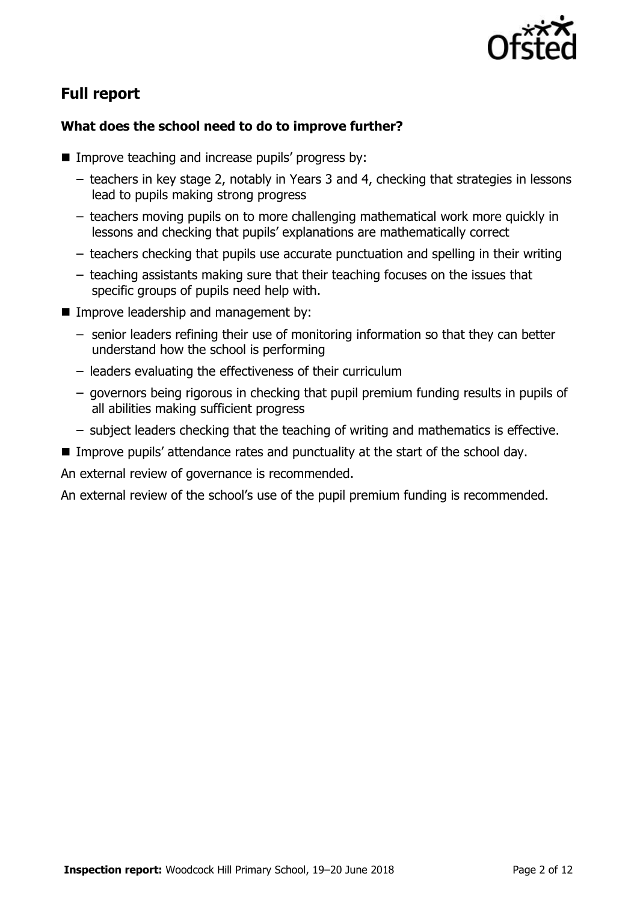

# **Full report**

### **What does the school need to do to improve further?**

- **IMPROVE teaching and increase pupils' progress by:** 
	- teachers in key stage 2, notably in Years 3 and 4, checking that strategies in lessons lead to pupils making strong progress
	- teachers moving pupils on to more challenging mathematical work more quickly in lessons and checking that pupils' explanations are mathematically correct
	- teachers checking that pupils use accurate punctuation and spelling in their writing
	- teaching assistants making sure that their teaching focuses on the issues that specific groups of pupils need help with.
- **Improve leadership and management by:** 
	- senior leaders refining their use of monitoring information so that they can better understand how the school is performing
	- leaders evaluating the effectiveness of their curriculum
	- governors being rigorous in checking that pupil premium funding results in pupils of all abilities making sufficient progress
	- subject leaders checking that the teaching of writing and mathematics is effective.
- Improve pupils' attendance rates and punctuality at the start of the school day.

An external review of governance is recommended.

An external review of the school's use of the pupil premium funding is recommended.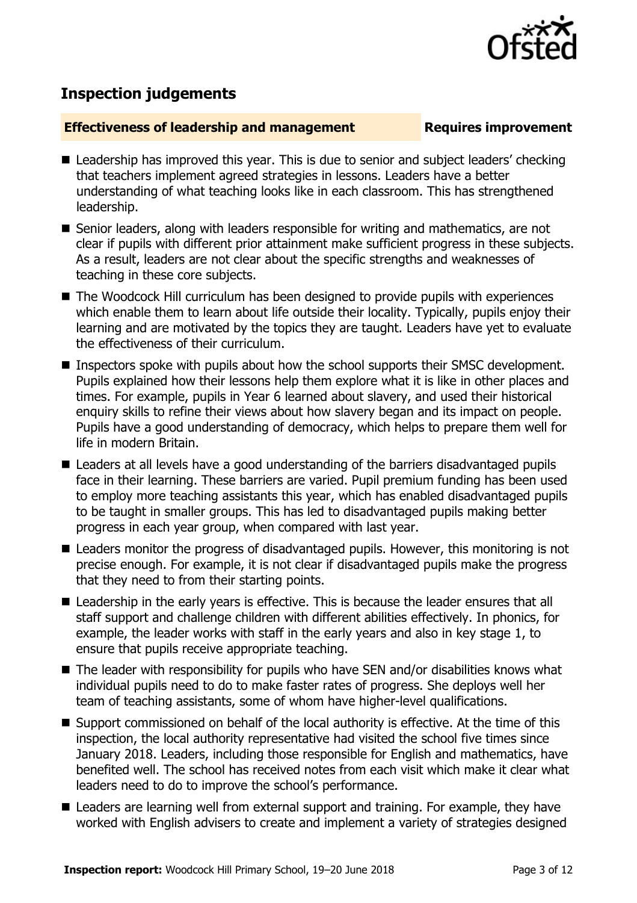

# **Inspection judgements**

### **Effectiveness of leadership and management Requires improvement**

- Leadership has improved this year. This is due to senior and subject leaders' checking that teachers implement agreed strategies in lessons. Leaders have a better understanding of what teaching looks like in each classroom. This has strengthened leadership.
- Senior leaders, along with leaders responsible for writing and mathematics, are not clear if pupils with different prior attainment make sufficient progress in these subjects. As a result, leaders are not clear about the specific strengths and weaknesses of teaching in these core subjects.
- The Woodcock Hill curriculum has been designed to provide pupils with experiences which enable them to learn about life outside their locality. Typically, pupils enjoy their learning and are motivated by the topics they are taught. Leaders have yet to evaluate the effectiveness of their curriculum.
- Inspectors spoke with pupils about how the school supports their SMSC development. Pupils explained how their lessons help them explore what it is like in other places and times. For example, pupils in Year 6 learned about slavery, and used their historical enquiry skills to refine their views about how slavery began and its impact on people. Pupils have a good understanding of democracy, which helps to prepare them well for life in modern Britain.
- Leaders at all levels have a good understanding of the barriers disadvantaged pupils face in their learning. These barriers are varied. Pupil premium funding has been used to employ more teaching assistants this year, which has enabled disadvantaged pupils to be taught in smaller groups. This has led to disadvantaged pupils making better progress in each year group, when compared with last year.
- Leaders monitor the progress of disadvantaged pupils. However, this monitoring is not precise enough. For example, it is not clear if disadvantaged pupils make the progress that they need to from their starting points.
- Leadership in the early vears is effective. This is because the leader ensures that all staff support and challenge children with different abilities effectively. In phonics, for example, the leader works with staff in the early years and also in key stage 1, to ensure that pupils receive appropriate teaching.
- The leader with responsibility for pupils who have SEN and/or disabilities knows what individual pupils need to do to make faster rates of progress. She deploys well her team of teaching assistants, some of whom have higher-level qualifications.
- Support commissioned on behalf of the local authority is effective. At the time of this inspection, the local authority representative had visited the school five times since January 2018. Leaders, including those responsible for English and mathematics, have benefited well. The school has received notes from each visit which make it clear what leaders need to do to improve the school's performance.
- Leaders are learning well from external support and training. For example, they have worked with English advisers to create and implement a variety of strategies designed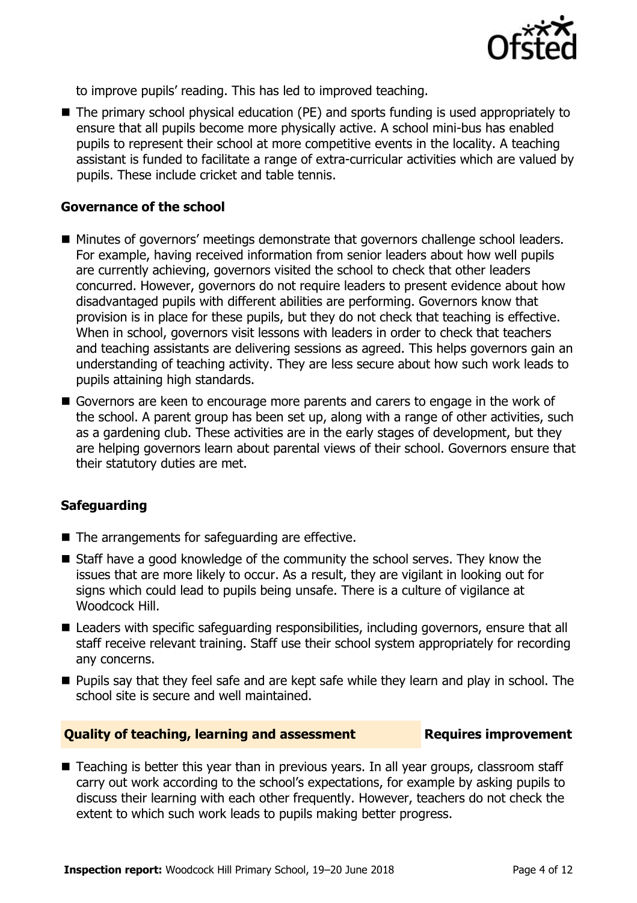

to improve pupils' reading. This has led to improved teaching.

■ The primary school physical education (PE) and sports funding is used appropriately to ensure that all pupils become more physically active. A school mini-bus has enabled pupils to represent their school at more competitive events in the locality. A teaching assistant is funded to facilitate a range of extra-curricular activities which are valued by pupils. These include cricket and table tennis.

### **Governance of the school**

- Minutes of governors' meetings demonstrate that governors challenge school leaders. For example, having received information from senior leaders about how well pupils are currently achieving, governors visited the school to check that other leaders concurred. However, governors do not require leaders to present evidence about how disadvantaged pupils with different abilities are performing. Governors know that provision is in place for these pupils, but they do not check that teaching is effective. When in school, governors visit lessons with leaders in order to check that teachers and teaching assistants are delivering sessions as agreed. This helps governors gain an understanding of teaching activity. They are less secure about how such work leads to pupils attaining high standards.
- Governors are keen to encourage more parents and carers to engage in the work of the school. A parent group has been set up, along with a range of other activities, such as a gardening club. These activities are in the early stages of development, but they are helping governors learn about parental views of their school. Governors ensure that their statutory duties are met.

### **Safeguarding**

- The arrangements for safeguarding are effective.
- Staff have a good knowledge of the community the school serves. They know the issues that are more likely to occur. As a result, they are vigilant in looking out for signs which could lead to pupils being unsafe. There is a culture of vigilance at Woodcock Hill.
- Leaders with specific safeguarding responsibilities, including governors, ensure that all staff receive relevant training. Staff use their school system appropriately for recording any concerns.
- **Pupils say that they feel safe and are kept safe while they learn and play in school. The** school site is secure and well maintained.

### **Quality of teaching, learning and assessment Requires improvement**

■ Teaching is better this year than in previous years. In all year groups, classroom staff carry out work according to the school's expectations, for example by asking pupils to discuss their learning with each other frequently. However, teachers do not check the extent to which such work leads to pupils making better progress.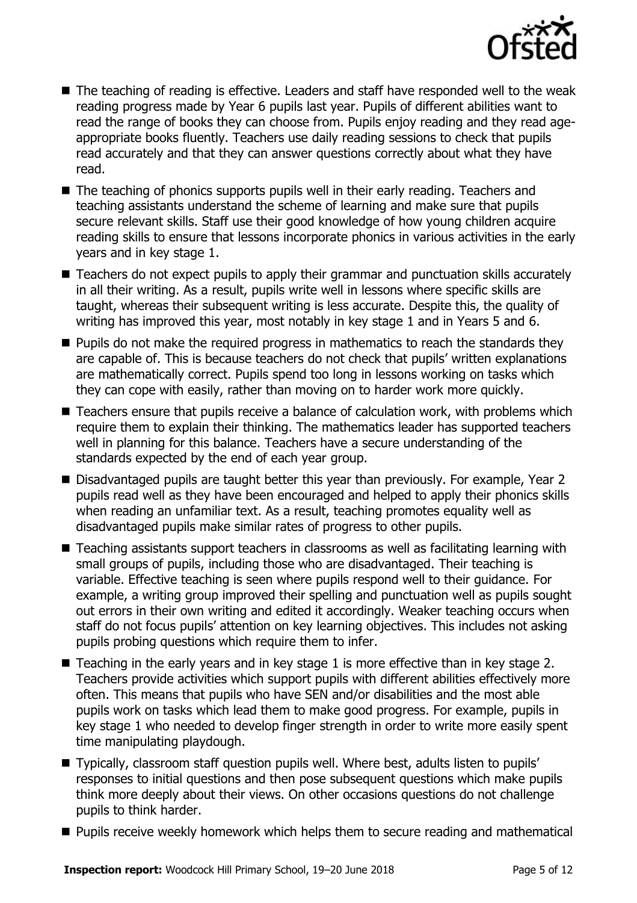

- The teaching of reading is effective. Leaders and staff have responded well to the weak reading progress made by Year 6 pupils last year. Pupils of different abilities want to read the range of books they can choose from. Pupils enjoy reading and they read ageappropriate books fluently. Teachers use daily reading sessions to check that pupils read accurately and that they can answer questions correctly about what they have read.
- The teaching of phonics supports pupils well in their early reading. Teachers and teaching assistants understand the scheme of learning and make sure that pupils secure relevant skills. Staff use their good knowledge of how young children acquire reading skills to ensure that lessons incorporate phonics in various activities in the early years and in key stage 1.
- Teachers do not expect pupils to apply their grammar and punctuation skills accurately in all their writing. As a result, pupils write well in lessons where specific skills are taught, whereas their subsequent writing is less accurate. Despite this, the quality of writing has improved this year, most notably in key stage 1 and in Years 5 and 6.
- **Pupils do not make the required progress in mathematics to reach the standards they** are capable of. This is because teachers do not check that pupils' written explanations are mathematically correct. Pupils spend too long in lessons working on tasks which they can cope with easily, rather than moving on to harder work more quickly.
- Teachers ensure that pupils receive a balance of calculation work, with problems which require them to explain their thinking. The mathematics leader has supported teachers well in planning for this balance. Teachers have a secure understanding of the standards expected by the end of each year group.
- Disadvantaged pupils are taught better this year than previously. For example, Year 2 pupils read well as they have been encouraged and helped to apply their phonics skills when reading an unfamiliar text. As a result, teaching promotes equality well as disadvantaged pupils make similar rates of progress to other pupils.
- Teaching assistants support teachers in classrooms as well as facilitating learning with small groups of pupils, including those who are disadvantaged. Their teaching is variable. Effective teaching is seen where pupils respond well to their guidance. For example, a writing group improved their spelling and punctuation well as pupils sought out errors in their own writing and edited it accordingly. Weaker teaching occurs when staff do not focus pupils' attention on key learning objectives. This includes not asking pupils probing questions which require them to infer.
- $\blacksquare$  Teaching in the early years and in key stage 1 is more effective than in key stage 2. Teachers provide activities which support pupils with different abilities effectively more often. This means that pupils who have SEN and/or disabilities and the most able pupils work on tasks which lead them to make good progress. For example, pupils in key stage 1 who needed to develop finger strength in order to write more easily spent time manipulating playdough.
- Typically, classroom staff question pupils well. Where best, adults listen to pupils' responses to initial questions and then pose subsequent questions which make pupils think more deeply about their views. On other occasions questions do not challenge pupils to think harder.
- **Pupils receive weekly homework which helps them to secure reading and mathematical**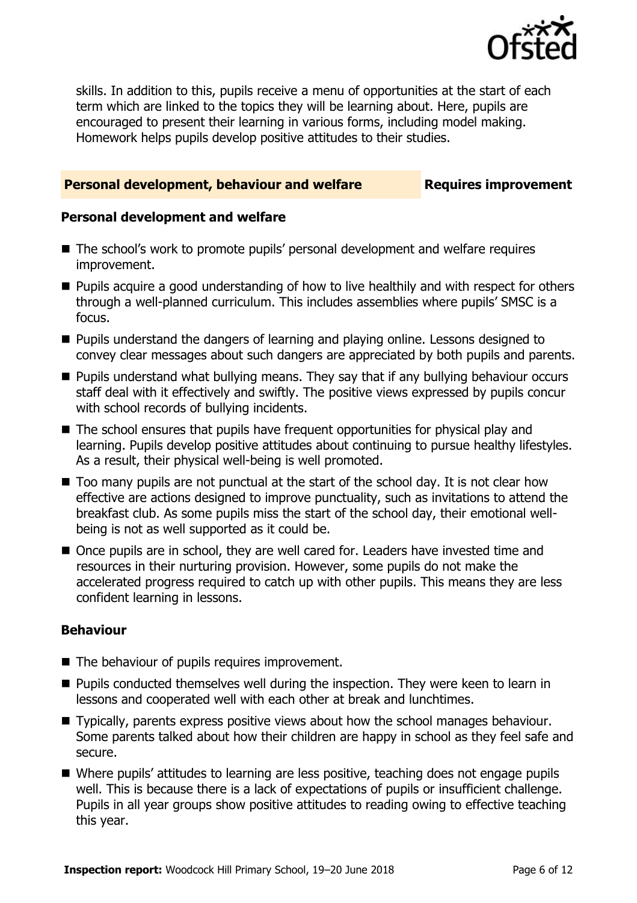

skills. In addition to this, pupils receive a menu of opportunities at the start of each term which are linked to the topics they will be learning about. Here, pupils are encouraged to present their learning in various forms, including model making. Homework helps pupils develop positive attitudes to their studies.

### **Personal development, behaviour and welfare <b>Requires improvement**

### **Personal development and welfare**

- The school's work to promote pupils' personal development and welfare requires improvement.
- Pupils acquire a good understanding of how to live healthily and with respect for others through a well-planned curriculum. This includes assemblies where pupils' SMSC is a focus.
- **Pupils understand the dangers of learning and playing online. Lessons designed to** convey clear messages about such dangers are appreciated by both pupils and parents.
- **Pupils understand what bullying means. They say that if any bullying behaviour occurs** staff deal with it effectively and swiftly. The positive views expressed by pupils concur with school records of bullying incidents.
- The school ensures that pupils have frequent opportunities for physical play and learning. Pupils develop positive attitudes about continuing to pursue healthy lifestyles. As a result, their physical well-being is well promoted.
- Too many pupils are not punctual at the start of the school day. It is not clear how effective are actions designed to improve punctuality, such as invitations to attend the breakfast club. As some pupils miss the start of the school day, their emotional wellbeing is not as well supported as it could be.
- Once pupils are in school, they are well cared for. Leaders have invested time and resources in their nurturing provision. However, some pupils do not make the accelerated progress required to catch up with other pupils. This means they are less confident learning in lessons.

### **Behaviour**

- The behaviour of pupils requires improvement.
- **Pupils conducted themselves well during the inspection. They were keen to learn in** lessons and cooperated well with each other at break and lunchtimes.
- Typically, parents express positive views about how the school manages behaviour. Some parents talked about how their children are happy in school as they feel safe and secure.
- Where pupils' attitudes to learning are less positive, teaching does not engage pupils well. This is because there is a lack of expectations of pupils or insufficient challenge. Pupils in all year groups show positive attitudes to reading owing to effective teaching this year.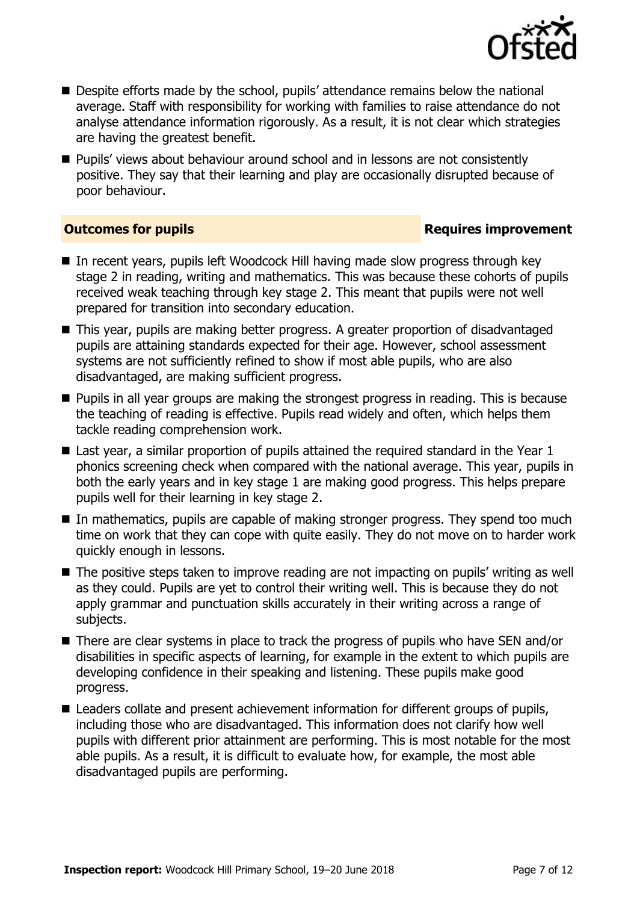

- Despite efforts made by the school, pupils' attendance remains below the national average. Staff with responsibility for working with families to raise attendance do not analyse attendance information rigorously. As a result, it is not clear which strategies are having the greatest benefit.
- **Pupils'** views about behaviour around school and in lessons are not consistently positive. They say that their learning and play are occasionally disrupted because of poor behaviour.

### **Outcomes for pupils Requires improvement**

- In recent years, pupils left Woodcock Hill having made slow progress through key stage 2 in reading, writing and mathematics. This was because these cohorts of pupils received weak teaching through key stage 2. This meant that pupils were not well prepared for transition into secondary education.
- This year, pupils are making better progress. A greater proportion of disadvantaged pupils are attaining standards expected for their age. However, school assessment systems are not sufficiently refined to show if most able pupils, who are also disadvantaged, are making sufficient progress.
- **Pupils in all year groups are making the strongest progress in reading. This is because** the teaching of reading is effective. Pupils read widely and often, which helps them tackle reading comprehension work.
- Last year, a similar proportion of pupils attained the required standard in the Year 1 phonics screening check when compared with the national average. This year, pupils in both the early years and in key stage 1 are making good progress. This helps prepare pupils well for their learning in key stage 2.
- In mathematics, pupils are capable of making stronger progress. They spend too much time on work that they can cope with quite easily. They do not move on to harder work quickly enough in lessons.
- The positive steps taken to improve reading are not impacting on pupils' writing as well as they could. Pupils are yet to control their writing well. This is because they do not apply grammar and punctuation skills accurately in their writing across a range of subjects.
- There are clear systems in place to track the progress of pupils who have SEN and/or disabilities in specific aspects of learning, for example in the extent to which pupils are developing confidence in their speaking and listening. These pupils make good progress.
- Leaders collate and present achievement information for different groups of pupils, including those who are disadvantaged. This information does not clarify how well pupils with different prior attainment are performing. This is most notable for the most able pupils. As a result, it is difficult to evaluate how, for example, the most able disadvantaged pupils are performing.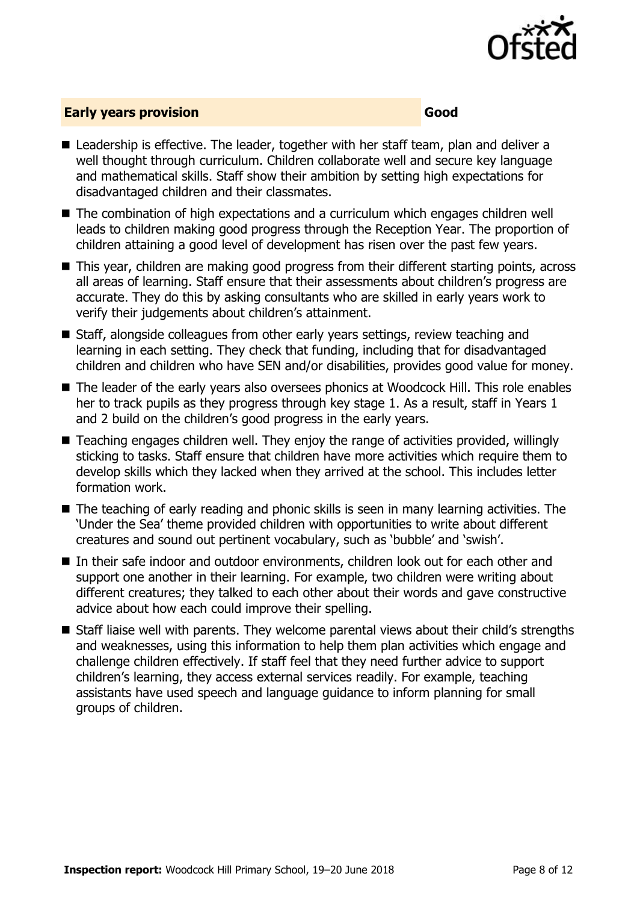

### **Early years provision Good Good**

- Leadership is effective. The leader, together with her staff team, plan and deliver a well thought through curriculum. Children collaborate well and secure key language and mathematical skills. Staff show their ambition by setting high expectations for disadvantaged children and their classmates.
- The combination of high expectations and a curriculum which engages children well leads to children making good progress through the Reception Year. The proportion of children attaining a good level of development has risen over the past few years.
- This year, children are making good progress from their different starting points, across all areas of learning. Staff ensure that their assessments about children's progress are accurate. They do this by asking consultants who are skilled in early years work to verify their judgements about children's attainment.
- Staff, alongside colleagues from other early years settings, review teaching and learning in each setting. They check that funding, including that for disadvantaged children and children who have SEN and/or disabilities, provides good value for money.
- The leader of the early years also oversees phonics at Woodcock Hill. This role enables her to track pupils as they progress through key stage 1. As a result, staff in Years 1 and 2 build on the children's good progress in the early years.
- Teaching engages children well. They enjoy the range of activities provided, willingly sticking to tasks. Staff ensure that children have more activities which require them to develop skills which they lacked when they arrived at the school. This includes letter formation work.
- The teaching of early reading and phonic skills is seen in many learning activities. The 'Under the Sea' theme provided children with opportunities to write about different creatures and sound out pertinent vocabulary, such as 'bubble' and 'swish'.
- In their safe indoor and outdoor environments, children look out for each other and support one another in their learning. For example, two children were writing about different creatures; they talked to each other about their words and gave constructive advice about how each could improve their spelling.
- Staff liaise well with parents. They welcome parental views about their child's strengths and weaknesses, using this information to help them plan activities which engage and challenge children effectively. If staff feel that they need further advice to support children's learning, they access external services readily. For example, teaching assistants have used speech and language guidance to inform planning for small groups of children.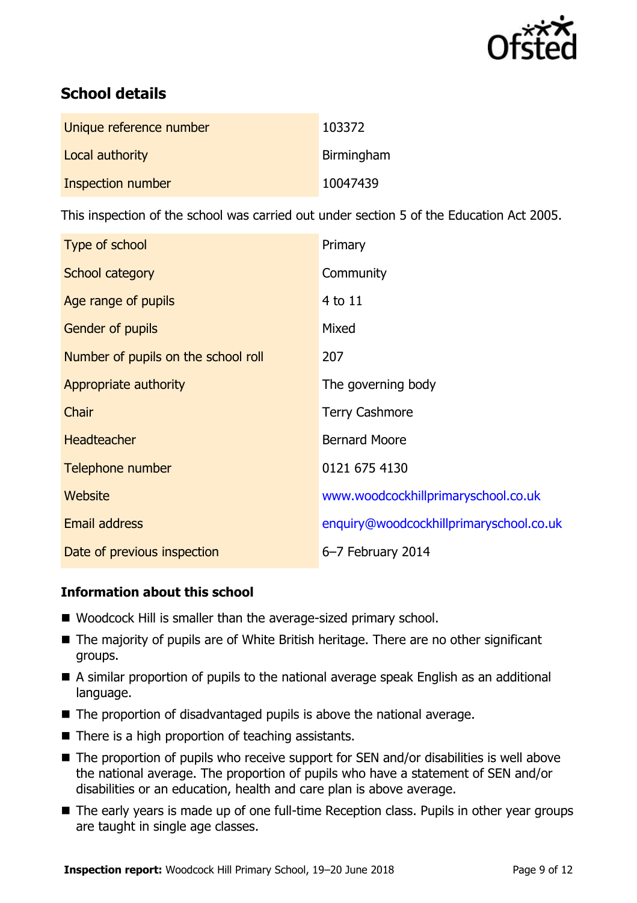

# **School details**

| Unique reference number | 103372     |
|-------------------------|------------|
| Local authority         | Birmingham |
| Inspection number       | 10047439   |

This inspection of the school was carried out under section 5 of the Education Act 2005.

| Type of school                      | Primary                                 |
|-------------------------------------|-----------------------------------------|
| School category                     | Community                               |
| Age range of pupils                 | 4 to 11                                 |
| Gender of pupils                    | Mixed                                   |
| Number of pupils on the school roll | 207                                     |
| Appropriate authority               | The governing body                      |
| Chair                               | <b>Terry Cashmore</b>                   |
| <b>Headteacher</b>                  | <b>Bernard Moore</b>                    |
| Telephone number                    | 0121 675 4130                           |
| Website                             | www.woodcockhillprimaryschool.co.uk     |
| <b>Email address</b>                | enquiry@woodcockhillprimaryschool.co.uk |
| Date of previous inspection         | 6-7 February 2014                       |

### **Information about this school**

- Woodcock Hill is smaller than the average-sized primary school.
- The majority of pupils are of White British heritage. There are no other significant groups.
- A similar proportion of pupils to the national average speak English as an additional language.
- The proportion of disadvantaged pupils is above the national average.
- $\blacksquare$  There is a high proportion of teaching assistants.
- The proportion of pupils who receive support for SEN and/or disabilities is well above the national average. The proportion of pupils who have a statement of SEN and/or disabilities or an education, health and care plan is above average.
- The early years is made up of one full-time Reception class. Pupils in other year groups are taught in single age classes.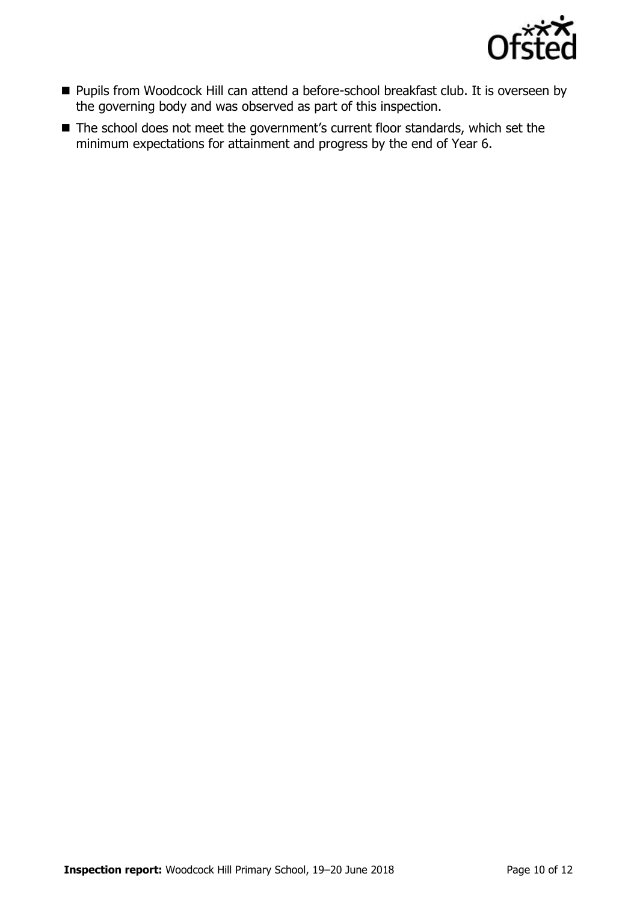

- Pupils from Woodcock Hill can attend a before-school breakfast club. It is overseen by the governing body and was observed as part of this inspection.
- The school does not meet the government's current floor standards, which set the minimum expectations for attainment and progress by the end of Year 6.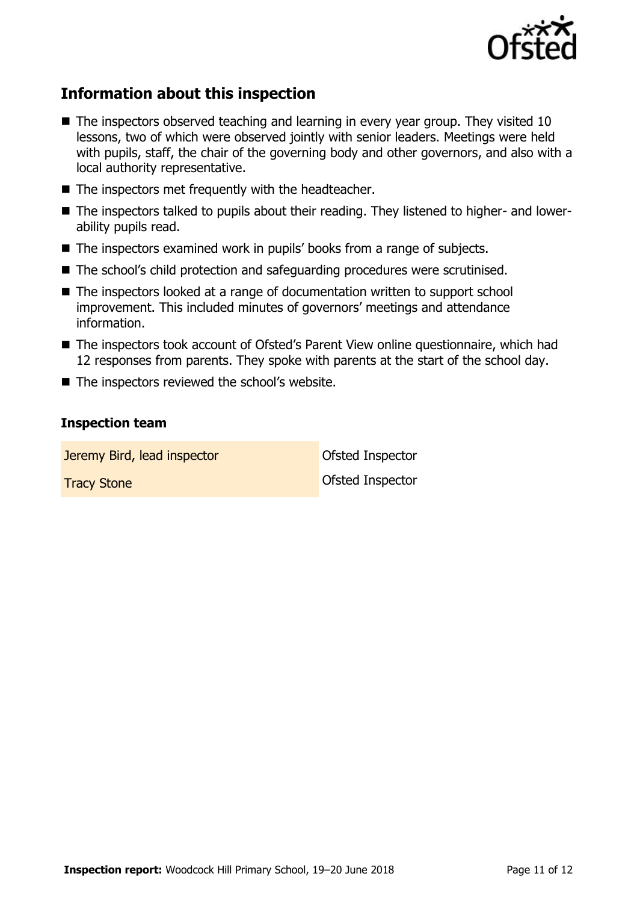

# **Information about this inspection**

- The inspectors observed teaching and learning in every year group. They visited 10 lessons, two of which were observed jointly with senior leaders. Meetings were held with pupils, staff, the chair of the governing body and other governors, and also with a local authority representative.
- $\blacksquare$  The inspectors met frequently with the headteacher.
- The inspectors talked to pupils about their reading. They listened to higher- and lowerability pupils read.
- The inspectors examined work in pupils' books from a range of subjects.
- The school's child protection and safeguarding procedures were scrutinised.
- The inspectors looked at a range of documentation written to support school improvement. This included minutes of governors' meetings and attendance information.
- The inspectors took account of Ofsted's Parent View online questionnaire, which had 12 responses from parents. They spoke with parents at the start of the school day.
- The inspectors reviewed the school's website.

### **Inspection team**

**Jeremy Bird, lead inspector Constanting Ofsted Inspector Tracy Stone Contract Contract Contract Contract Contract Contract Contract Contract Contract Contract Contract Contract Contract Contract Contract Contract Contract Contract Contract Contract Contract Contract Contract Co**